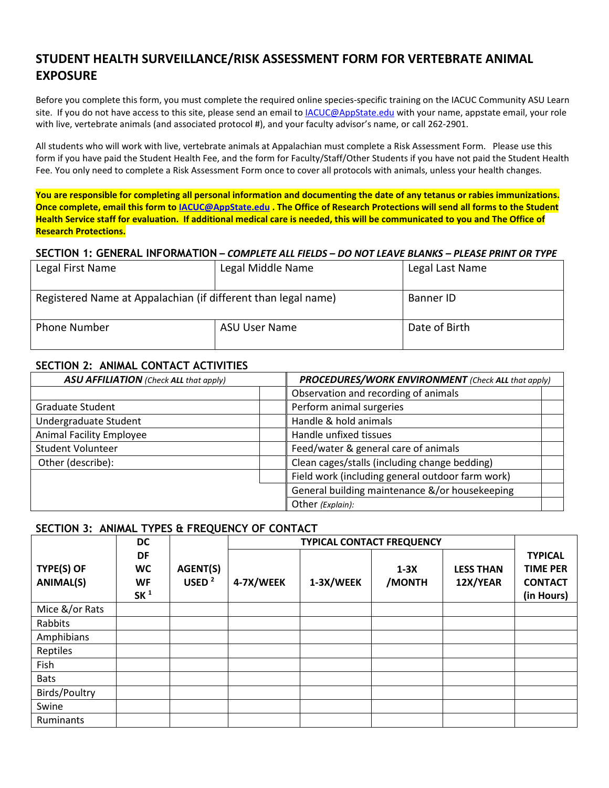# **STUDENT HEALTH SURVEILLANCE/RISK ASSESSMENT FORM FOR VERTEBRATE ANIMAL EXPOSURE**

Before you complete this form, you must complete the required online species-specific training on the IACUC Community ASU Learn site. If you do not have access to this site, please send an email to [IACUC@AppState.edu](mailto:IACUC@AppState.edu) with your name, appstate email, your role with live, vertebrate animals (and associated protocol #), and your faculty advisor's name, or call 262-2901.

All students who will work with live, vertebrate animals at Appalachian must complete a Risk Assessment Form. Please use this form if you have paid the Student Health Fee, and the form for Faculty/Staff/Other Students if you have not paid the Student Health Fee. You only need to complete a Risk Assessment Form once to cover all protocols with animals, unless your health changes.

**You are responsible for completing all personal information and documenting the date of any tetanus or rabies immunizations. Once complete, email this form to [IACUC@AppState.edu](mailto:IACUC@AppState.edu) . The Office of Research Protections will send all forms to the Student Health Service staff for evaluation. If additional medical care is needed, this will be communicated to you and The Office of Research Protections.**

#### **SECTION 1: GENERAL INFORMATION –** *COMPLETE ALL FIELDS – DO NOT LEAVE BLANKS – PLEASE PRINT OR TYPE*

| Legal First Name                                              | Legal Middle Name | Legal Last Name |
|---------------------------------------------------------------|-------------------|-----------------|
| Registered Name at Appalachian (if different than legal name) |                   | Banner ID       |
| Phone Number                                                  | ASU User Name     | Date of Birth   |

## **SECTION 2: ANIMAL CONTACT ACTIVITIES**

| <b>ASU AFFILIATION</b> (Check ALL that apply) | PROCEDURES/WORK ENVIRONMENT (Check ALL that apply) |  |  |
|-----------------------------------------------|----------------------------------------------------|--|--|
|                                               | Observation and recording of animals               |  |  |
| Graduate Student                              | Perform animal surgeries                           |  |  |
| Undergraduate Student                         | Handle & hold animals                              |  |  |
| Animal Facility Employee                      | Handle unfixed tissues                             |  |  |
| <b>Student Volunteer</b>                      | Feed/water & general care of animals               |  |  |
| Other (describe):                             | Clean cages/stalls (including change bedding)      |  |  |
|                                               | Field work (including general outdoor farm work)   |  |  |
|                                               | General building maintenance &/or housekeeping     |  |  |
|                                               | Other (Explain):                                   |  |  |

### **SECTION 3: ANIMAL TYPES & FREQUENCY OF CONTACT**

|                                                                                   | <b>DC</b>            |           |           |                  |                              |                                                                   |  |
|-----------------------------------------------------------------------------------|----------------------|-----------|-----------|------------------|------------------------------|-------------------------------------------------------------------|--|
| DF<br>TYPE(S) OF<br><b>WC</b><br><b>ANIMAL(S)</b><br><b>WF</b><br>SK <sup>1</sup> | AGENT(S)<br>USED $2$ | 4-7X/WEEK | 1-3X/WEEK | $1-3X$<br>/MONTH | <b>LESS THAN</b><br>12X/YEAR | <b>TYPICAL</b><br><b>TIME PER</b><br><b>CONTACT</b><br>(in Hours) |  |
| Mice &/or Rats                                                                    |                      |           |           |                  |                              |                                                                   |  |
| Rabbits                                                                           |                      |           |           |                  |                              |                                                                   |  |
| Amphibians                                                                        |                      |           |           |                  |                              |                                                                   |  |
| Reptiles                                                                          |                      |           |           |                  |                              |                                                                   |  |
| Fish                                                                              |                      |           |           |                  |                              |                                                                   |  |
| <b>Bats</b>                                                                       |                      |           |           |                  |                              |                                                                   |  |
| Birds/Poultry                                                                     |                      |           |           |                  |                              |                                                                   |  |
| Swine                                                                             |                      |           |           |                  |                              |                                                                   |  |
| Ruminants                                                                         |                      |           |           |                  |                              |                                                                   |  |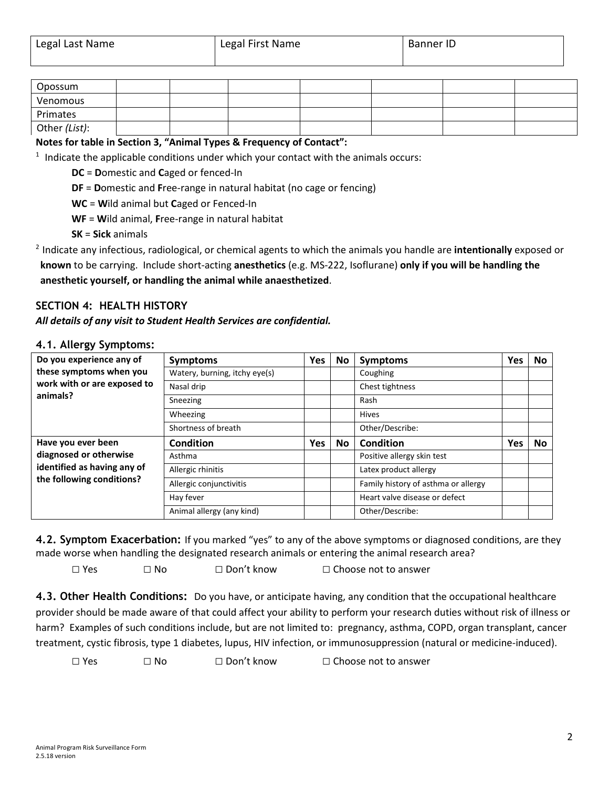| Opossum       |  |  |  |  |
|---------------|--|--|--|--|
| Venomous      |  |  |  |  |
| Primates      |  |  |  |  |
| Other (List): |  |  |  |  |

## **Notes for table in Section 3, "Animal Types & Frequency of Contact":**

 $1$  Indicate the applicable conditions under which your contact with the animals occurs:

**DC** = **D**omestic and **C**aged or fenced-In

**DF** = **D**omestic and **F**ree-range in natural habitat (no cage or fencing)

**WC** = **W**ild animal but **C**aged or Fenced-In

**WF** = **W**ild animal, **F**ree-range in natural habitat

**SK** = **Sick** animals

<sup>2</sup> Indicate any infectious, radiological, or chemical agents to which the animals you handle are **intentionally** exposed or **known** to be carrying. Include short-acting **anesthetics** (e.g. MS-222, Isoflurane) **only if you will be handling the anesthetic yourself, or handling the animal while anaesthetized**.

# **SECTION 4: HEALTH HISTORY**

#### *All details of any visit to Student Health Services are confidential.*

| Do you experience any of                                 | <b>Symptoms</b>               | Yes | <b>No</b> | <b>Symptoms</b>                     | Yes | No |
|----------------------------------------------------------|-------------------------------|-----|-----------|-------------------------------------|-----|----|
| these symptoms when you                                  | Watery, burning, itchy eye(s) |     |           | Coughing                            |     |    |
| work with or are exposed to                              | Nasal drip                    |     |           | Chest tightness                     |     |    |
| animals?                                                 | Sneezing                      |     |           | Rash                                |     |    |
|                                                          | Wheezing                      |     |           | <b>Hives</b>                        |     |    |
|                                                          | Shortness of breath           |     |           | Other/Describe:                     |     |    |
| Have you ever been                                       | <b>Condition</b>              | Yes | <b>No</b> | Condition                           | Yes | No |
| diagnosed or otherwise                                   | Asthma                        |     |           | Positive allergy skin test          |     |    |
| identified as having any of<br>the following conditions? | Allergic rhinitis             |     |           | Latex product allergy               |     |    |
|                                                          | Allergic conjunctivitis       |     |           | Family history of asthma or allergy |     |    |
|                                                          | Hay fever                     |     |           | Heart valve disease or defect       |     |    |
|                                                          | Animal allergy (any kind)     |     |           | Other/Describe:                     |     |    |

### **4.1. Allergy Symptoms:**

**4.2. Symptom Exacerbation:** If you marked "yes" to any of the above symptoms or diagnosed conditions, are they made worse when handling the designated research animals or entering the animal research area?

□ Yes □ No □ Don't know □ Choose not to answer

**4.3. Other Health Conditions:** Do you have, or anticipate having, any condition that the occupational healthcare provider should be made aware of that could affect your ability to perform your research duties without risk of illness or harm? Examples of such conditions include, but are not limited to: pregnancy, asthma, COPD, organ transplant, cancer treatment, cystic fibrosis, type 1 diabetes, lupus, HIV infection, or immunosuppression (natural or medicine-induced).

□ Yes □ No □ Don't know □ Choose not to answer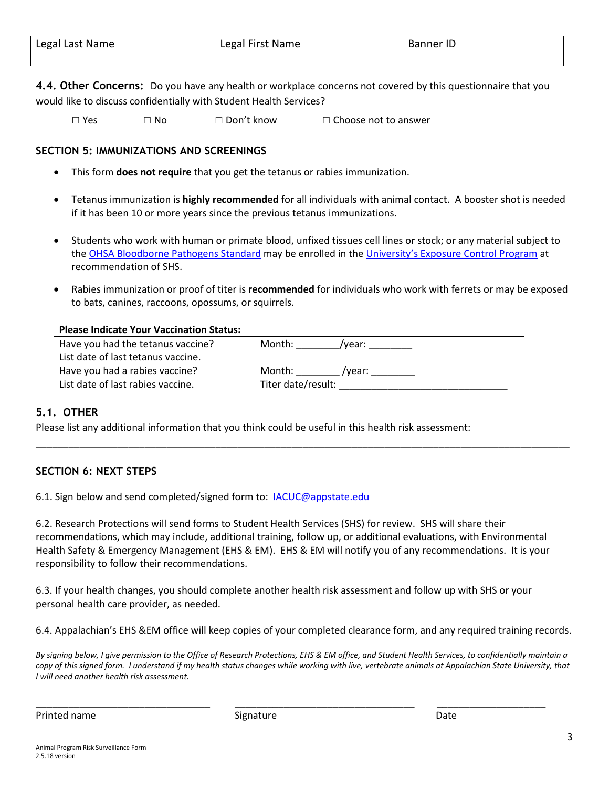**4.4. Other Concerns:** Do you have any health or workplace concerns not covered by this questionnaire that you would like to discuss confidentially with Student Health Services?

□ Yes □ No □ Don't know □ Choose not to answer

# **SECTION 5: IMMUNIZATIONS AND SCREENINGS**

- This form **does not require** that you get the tetanus or rabies immunization.
- Tetanus immunization is **highly recommended** for all individuals with animal contact. A booster shot is needed if it has been 10 or more years since the previous tetanus immunizations.
- Students who work with human or primate blood, unfixed tissues cell lines or stock; or any material subject to the [OHSA Bloodborne Pathogens](https://www.osha.gov/OshDoc/data_BloodborneFacts/bbfact01.pdf) Standard may be enrolled in the University's [Exposure Control Program](http://safety.appstate.edu/bloodborne-pathogens) at recommendation of SHS.
- Rabies immunization or proof of titer is **recommended** for individuals who work with ferrets or may be exposed to bats, canines, raccoons, opossums, or squirrels.

| <b>Please Indicate Your Vaccination Status:</b> |                    |
|-------------------------------------------------|--------------------|
| Have you had the tetanus vaccine?               | Month:<br>/vear:   |
| List date of last tetanus vaccine.              |                    |
| Have you had a rabies vaccine?                  | Month:<br>vear: '  |
| List date of last rabies vaccine.               | Titer date/result: |

# **5.1. OTHER**

Please list any additional information that you think could be useful in this health risk assessment:

# **SECTION 6: NEXT STEPS**

6.1. Sign below and send completed/signed form to: **IACUC@appstate.edu** 

6.2. Research Protections will send forms to Student Health Services (SHS) for review. SHS will share their recommendations, which may include, additional training, follow up, or additional evaluations, with Environmental Health Safety & Emergency Management (EHS & EM). EHS & EM will notify you of any recommendations. It is your responsibility to follow their recommendations.

\_\_\_\_\_\_\_\_\_\_\_\_\_\_\_\_\_\_\_\_\_\_\_\_\_\_\_\_\_\_\_\_\_\_\_\_\_\_\_\_\_\_\_\_\_\_\_\_\_\_\_\_\_\_\_\_\_\_\_\_\_\_\_\_\_\_\_\_\_\_\_\_\_\_\_\_\_\_\_\_\_\_\_\_\_\_\_\_\_\_\_\_\_\_\_\_\_\_

6.3. If your health changes, you should complete another health risk assessment and follow up with SHS or your personal health care provider, as needed.

6.4. Appalachian's EHS &EM office will keep copies of your completed clearance form, and any required training records.

*By signing below, I give permission to the Office of Research Protections, EHS & EM office, and Student Health Services, to confidentially maintain a copy of this signed form. I understand if my health status changes while working with live, vertebrate animals at Appalachian State University, that I will need another health risk assessment.*

\_\_\_\_\_\_\_\_\_\_\_\_\_\_\_\_\_\_\_\_\_\_\_\_\_\_\_\_\_\_\_\_ \_\_\_\_\_\_\_\_\_\_\_\_\_\_\_\_\_\_\_\_\_\_\_\_\_\_\_\_\_\_\_\_\_ \_\_\_\_\_\_\_\_\_\_\_\_\_\_\_\_\_\_\_\_

Printed name and Date Signature Controller and Date Date Date Date of the Date of the Date of the Date of the Date of the Date of the Date of the Date of the Date of the Date of the Date of the Date of the Date of the Date